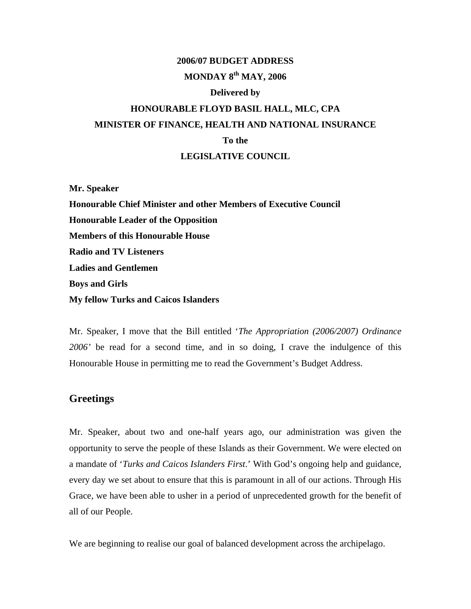# **2006/07 BUDGET ADDRESS MONDAY 8th MAY, 2006**

### **Delivered by**

# **HONOURABLE FLOYD BASIL HALL, MLC, CPA MINISTER OF FINANCE, HEALTH AND NATIONAL INSURANCE To the LEGISLATIVE COUNCIL**

**Mr. Speaker Honourable Chief Minister and other Members of Executive Council Honourable Leader of the Opposition Members of this Honourable House Radio and TV Listeners Ladies and Gentlemen Boys and Girls My fellow Turks and Caicos Islanders** 

Mr. Speaker, I move that the Bill entitled '*The Appropriation (2006/2007) Ordinance 2006'* be read for a second time, and in so doing, I crave the indulgence of this Honourable House in permitting me to read the Government's Budget Address.

# **Greetings**

Mr. Speaker, about two and one-half years ago, our administration was given the opportunity to serve the people of these Islands as their Government. We were elected on a mandate of '*Turks and Caicos Islanders First*.' With God's ongoing help and guidance, every day we set about to ensure that this is paramount in all of our actions. Through His Grace, we have been able to usher in a period of unprecedented growth for the benefit of all of our People.

We are beginning to realise our goal of balanced development across the archipelago.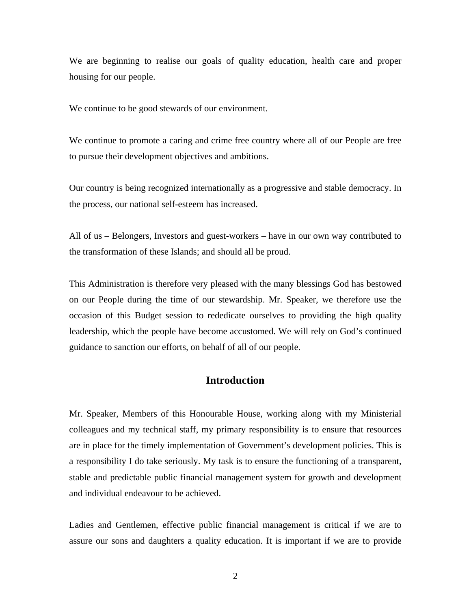We are beginning to realise our goals of quality education, health care and proper housing for our people.

We continue to be good stewards of our environment.

We continue to promote a caring and crime free country where all of our People are free to pursue their development objectives and ambitions.

Our country is being recognized internationally as a progressive and stable democracy. In the process, our national self-esteem has increased.

All of us – Belongers, Investors and guest-workers – have in our own way contributed to the transformation of these Islands; and should all be proud.

This Administration is therefore very pleased with the many blessings God has bestowed on our People during the time of our stewardship. Mr. Speaker, we therefore use the occasion of this Budget session to rededicate ourselves to providing the high quality leadership, which the people have become accustomed. We will rely on God's continued guidance to sanction our efforts, on behalf of all of our people.

# **Introduction**

Mr. Speaker, Members of this Honourable House, working along with my Ministerial colleagues and my technical staff, my primary responsibility is to ensure that resources are in place for the timely implementation of Government's development policies. This is a responsibility I do take seriously. My task is to ensure the functioning of a transparent, stable and predictable public financial management system for growth and development and individual endeavour to be achieved.

Ladies and Gentlemen, effective public financial management is critical if we are to assure our sons and daughters a quality education. It is important if we are to provide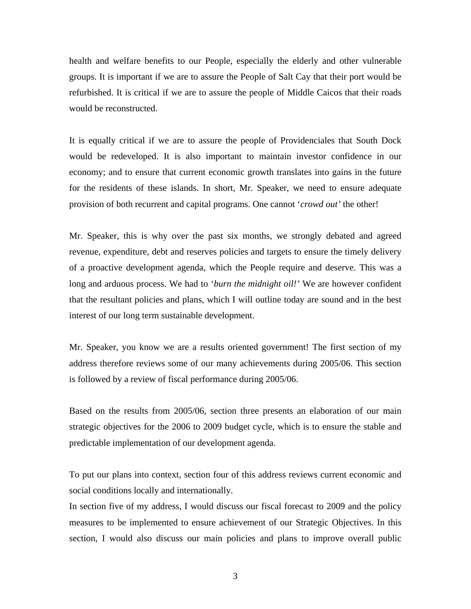health and welfare benefits to our People, especially the elderly and other vulnerable groups. It is important if we are to assure the People of Salt Cay that their port would be refurbished. It is critical if we are to assure the people of Middle Caicos that their roads would be reconstructed.

It is equally critical if we are to assure the people of Providenciales that South Dock would be redeveloped. It is also important to maintain investor confidence in our economy; and to ensure that current economic growth translates into gains in the future for the residents of these islands. In short, Mr. Speaker, we need to ensure adequate provision of both recurrent and capital programs. One cannot '*crowd out'* the other!

Mr. Speaker, this is why over the past six months, we strongly debated and agreed revenue, expenditure, debt and reserves policies and targets to ensure the timely delivery of a proactive development agenda, which the People require and deserve. This was a long and arduous process. We had to '*burn the midnight oil!'* We are however confident that the resultant policies and plans, which I will outline today are sound and in the best interest of our long term sustainable development.

Mr. Speaker, you know we are a results oriented government! The first section of my address therefore reviews some of our many achievements during 2005/06. This section is followed by a review of fiscal performance during 2005/06.

Based on the results from 2005/06, section three presents an elaboration of our main strategic objectives for the 2006 to 2009 budget cycle, which is to ensure the stable and predictable implementation of our development agenda.

To put our plans into context, section four of this address reviews current economic and social conditions locally and internationally.

In section five of my address, I would discuss our fiscal forecast to 2009 and the policy measures to be implemented to ensure achievement of our Strategic Objectives. In this section, I would also discuss our main policies and plans to improve overall public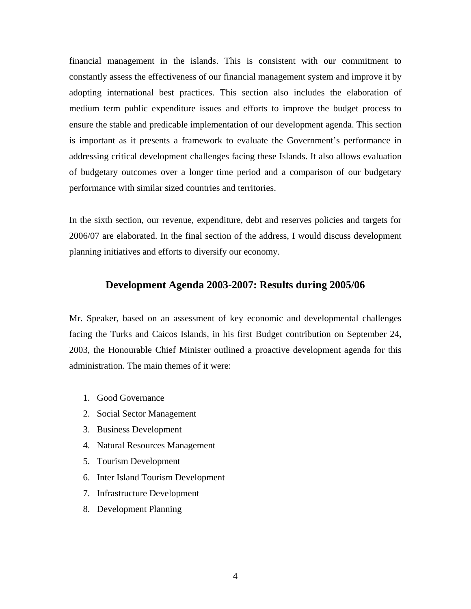financial management in the islands. This is consistent with our commitment to constantly assess the effectiveness of our financial management system and improve it by adopting international best practices. This section also includes the elaboration of medium term public expenditure issues and efforts to improve the budget process to ensure the stable and predicable implementation of our development agenda. This section is important as it presents a framework to evaluate the Government's performance in addressing critical development challenges facing these Islands. It also allows evaluation of budgetary outcomes over a longer time period and a comparison of our budgetary performance with similar sized countries and territories.

In the sixth section, our revenue, expenditure, debt and reserves policies and targets for 2006/07 are elaborated. In the final section of the address, I would discuss development planning initiatives and efforts to diversify our economy.

### **Development Agenda 2003-2007: Results during 2005/06**

Mr. Speaker, based on an assessment of key economic and developmental challenges facing the Turks and Caicos Islands, in his first Budget contribution on September 24, 2003, the Honourable Chief Minister outlined a proactive development agenda for this administration. The main themes of it were:

- 1. Good Governance
- 2. Social Sector Management
- 3. Business Development
- 4. Natural Resources Management
- 5. Tourism Development
- 6. Inter Island Tourism Development
- 7. Infrastructure Development
- 8. Development Planning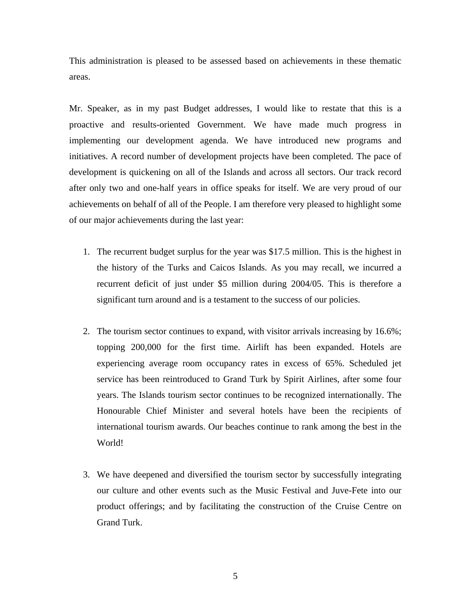This administration is pleased to be assessed based on achievements in these thematic areas.

Mr. Speaker, as in my past Budget addresses, I would like to restate that this is a proactive and results-oriented Government. We have made much progress in implementing our development agenda. We have introduced new programs and initiatives. A record number of development projects have been completed. The pace of development is quickening on all of the Islands and across all sectors. Our track record after only two and one-half years in office speaks for itself. We are very proud of our achievements on behalf of all of the People. I am therefore very pleased to highlight some of our major achievements during the last year:

- 1. The recurrent budget surplus for the year was \$17.5 million. This is the highest in the history of the Turks and Caicos Islands. As you may recall, we incurred a recurrent deficit of just under \$5 million during 2004/05. This is therefore a significant turn around and is a testament to the success of our policies.
- 2. The tourism sector continues to expand, with visitor arrivals increasing by 16.6%; topping 200,000 for the first time. Airlift has been expanded. Hotels are experiencing average room occupancy rates in excess of 65%. Scheduled jet service has been reintroduced to Grand Turk by Spirit Airlines, after some four years. The Islands tourism sector continues to be recognized internationally. The Honourable Chief Minister and several hotels have been the recipients of international tourism awards. Our beaches continue to rank among the best in the World!
- 3. We have deepened and diversified the tourism sector by successfully integrating our culture and other events such as the Music Festival and Juve-Fete into our product offerings; and by facilitating the construction of the Cruise Centre on Grand Turk.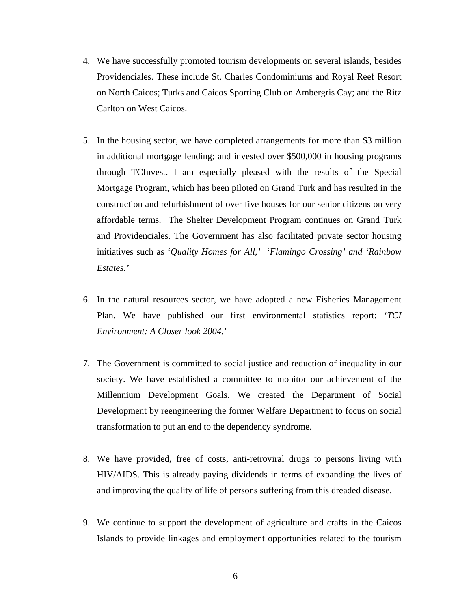- 4. We have successfully promoted tourism developments on several islands, besides Providenciales. These include St. Charles Condominiums and Royal Reef Resort on North Caicos; Turks and Caicos Sporting Club on Ambergris Cay; and the Ritz Carlton on West Caicos.
- 5. In the housing sector, we have completed arrangements for more than \$3 million in additional mortgage lending; and invested over \$500,000 in housing programs through TCInvest. I am especially pleased with the results of the Special Mortgage Program, which has been piloted on Grand Turk and has resulted in the construction and refurbishment of over five houses for our senior citizens on very affordable terms. The Shelter Development Program continues on Grand Turk and Providenciales. The Government has also facilitated private sector housing initiatives such as '*Quality Homes for All,'* '*Flamingo Crossing' and 'Rainbow Estates.'*
- 6. In the natural resources sector, we have adopted a new Fisheries Management Plan. We have published our first environmental statistics report: '*TCI Environment: A Closer look 2004.*'
- 7. The Government is committed to social justice and reduction of inequality in our society. We have established a committee to monitor our achievement of the Millennium Development Goals. We created the Department of Social Development by reengineering the former Welfare Department to focus on social transformation to put an end to the dependency syndrome.
- 8. We have provided, free of costs, anti-retroviral drugs to persons living with HIV/AIDS. This is already paying dividends in terms of expanding the lives of and improving the quality of life of persons suffering from this dreaded disease.
- 9. We continue to support the development of agriculture and crafts in the Caicos Islands to provide linkages and employment opportunities related to the tourism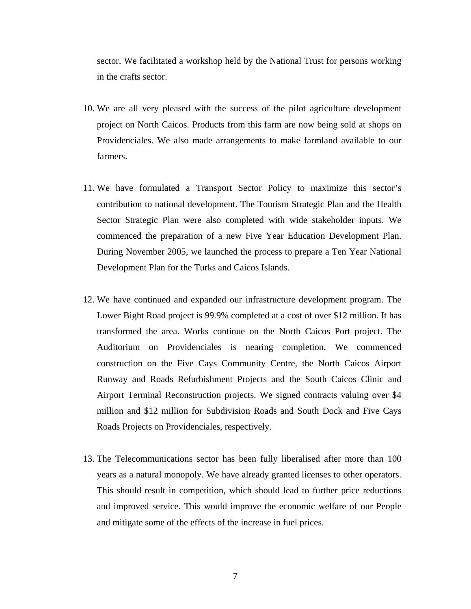sector. We facilitated a workshop held by the National Trust for persons working in the crafts sector.

- 10. We are all very pleased with the success of the pilot agriculture development project on North Caicos. Products from this farm are now being sold at shops on Providenciales. We also made arrangements to make farmland available to our farmers.
- 11. We have formulated a Transport Sector Policy to maximize this sector's contribution to national development. The Tourism Strategic Plan and the Health Sector Strategic Plan were also completed with wide stakeholder inputs. We commenced the preparation of a new Five Year Education Development Plan. During November 2005, we launched the process to prepare a Ten Year National Development Plan for the Turks and Caicos Islands.
- 12. We have continued and expanded our infrastructure development program. The Lower Bight Road project is 99.9% completed at a cost of over \$12 million. It has transformed the area. Works continue on the North Caicos Port project. The Auditorium on Providenciales is nearing completion. We commenced construction on the Five Cays Community Centre, the North Caicos Airport Runway and Roads Refurbishment Projects and the South Caicos Clinic and Airport Terminal Reconstruction projects. We signed contracts valuing over \$4 million and \$12 million for Subdivision Roads and South Dock and Five Cays Roads Projects on Providenciales, respectively.
- 13. The Telecommunications sector has been fully liberalised after more than 100 years as a natural monopoly. We have already granted licenses to other operators. This should result in competition, which should lead to further price reductions and improved service. This would improve the economic welfare of our People and mitigate some of the effects of the increase in fuel prices.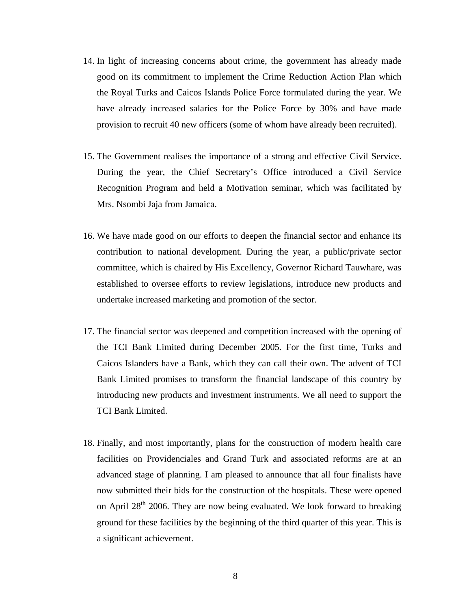- 14. In light of increasing concerns about crime, the government has already made good on its commitment to implement the Crime Reduction Action Plan which the Royal Turks and Caicos Islands Police Force formulated during the year. We have already increased salaries for the Police Force by 30% and have made provision to recruit 40 new officers (some of whom have already been recruited).
- 15. The Government realises the importance of a strong and effective Civil Service. During the year, the Chief Secretary's Office introduced a Civil Service Recognition Program and held a Motivation seminar, which was facilitated by Mrs. Nsombi Jaja from Jamaica.
- 16. We have made good on our efforts to deepen the financial sector and enhance its contribution to national development. During the year, a public/private sector committee, which is chaired by His Excellency, Governor Richard Tauwhare, was established to oversee efforts to review legislations, introduce new products and undertake increased marketing and promotion of the sector.
- 17. The financial sector was deepened and competition increased with the opening of the TCI Bank Limited during December 2005. For the first time, Turks and Caicos Islanders have a Bank, which they can call their own. The advent of TCI Bank Limited promises to transform the financial landscape of this country by introducing new products and investment instruments. We all need to support the TCI Bank Limited.
- 18. Finally, and most importantly, plans for the construction of modern health care facilities on Providenciales and Grand Turk and associated reforms are at an advanced stage of planning. I am pleased to announce that all four finalists have now submitted their bids for the construction of the hospitals. These were opened on April  $28<sup>th</sup>$  2006. They are now being evaluated. We look forward to breaking ground for these facilities by the beginning of the third quarter of this year. This is a significant achievement.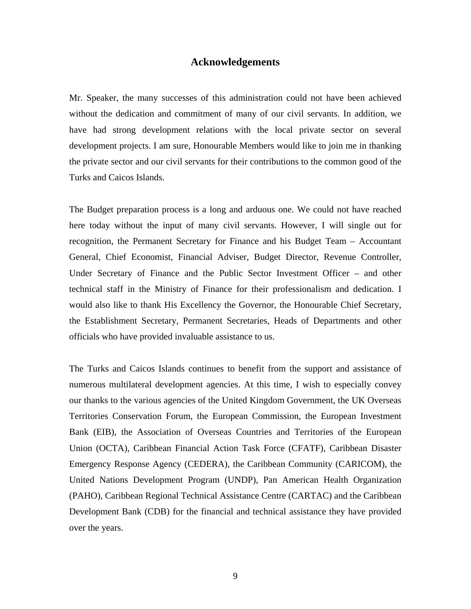### **Acknowledgements**

Mr. Speaker, the many successes of this administration could not have been achieved without the dedication and commitment of many of our civil servants. In addition, we have had strong development relations with the local private sector on several development projects. I am sure, Honourable Members would like to join me in thanking the private sector and our civil servants for their contributions to the common good of the Turks and Caicos Islands.

The Budget preparation process is a long and arduous one. We could not have reached here today without the input of many civil servants. However, I will single out for recognition, the Permanent Secretary for Finance and his Budget Team – Accountant General, Chief Economist, Financial Adviser, Budget Director, Revenue Controller, Under Secretary of Finance and the Public Sector Investment Officer – and other technical staff in the Ministry of Finance for their professionalism and dedication. I would also like to thank His Excellency the Governor, the Honourable Chief Secretary, the Establishment Secretary, Permanent Secretaries, Heads of Departments and other officials who have provided invaluable assistance to us.

The Turks and Caicos Islands continues to benefit from the support and assistance of numerous multilateral development agencies. At this time, I wish to especially convey our thanks to the various agencies of the United Kingdom Government, the UK Overseas Territories Conservation Forum, the European Commission, the European Investment Bank (EIB), the Association of Overseas Countries and Territories of the European Union (OCTA), Caribbean Financial Action Task Force (CFATF), Caribbean Disaster Emergency Response Agency (CEDERA), the Caribbean Community (CARICOM), the United Nations Development Program (UNDP), Pan American Health Organization (PAHO), Caribbean Regional Technical Assistance Centre (CARTAC) and the Caribbean Development Bank (CDB) for the financial and technical assistance they have provided over the years.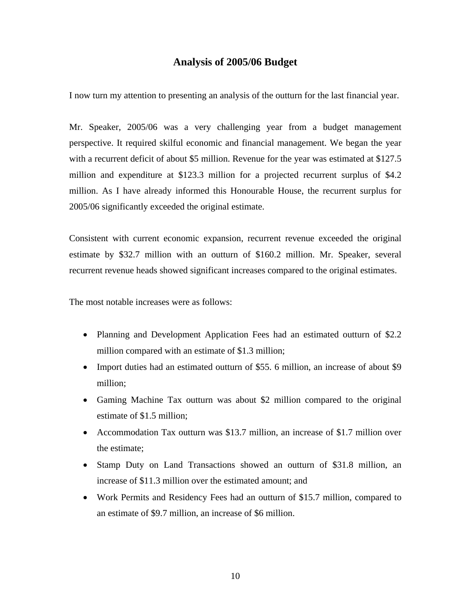# **Analysis of 2005/06 Budget**

I now turn my attention to presenting an analysis of the outturn for the last financial year.

Mr. Speaker, 2005/06 was a very challenging year from a budget management perspective. It required skilful economic and financial management. We began the year with a recurrent deficit of about \$5 million. Revenue for the year was estimated at \$127.5 million and expenditure at \$123.3 million for a projected recurrent surplus of \$4.2 million. As I have already informed this Honourable House, the recurrent surplus for 2005/06 significantly exceeded the original estimate.

Consistent with current economic expansion, recurrent revenue exceeded the original estimate by \$32.7 million with an outturn of \$160.2 million. Mr. Speaker, several recurrent revenue heads showed significant increases compared to the original estimates.

The most notable increases were as follows:

- Planning and Development Application Fees had an estimated outturn of \$2.2 million compared with an estimate of \$1.3 million;
- Import duties had an estimated outturn of \$55. 6 million, an increase of about \$9 million;
- Gaming Machine Tax outturn was about \$2 million compared to the original estimate of \$1.5 million;
- Accommodation Tax outturn was \$13.7 million, an increase of \$1.7 million over the estimate;
- Stamp Duty on Land Transactions showed an outturn of \$31.8 million, an increase of \$11.3 million over the estimated amount; and
- Work Permits and Residency Fees had an outturn of \$15.7 million, compared to an estimate of \$9.7 million, an increase of \$6 million.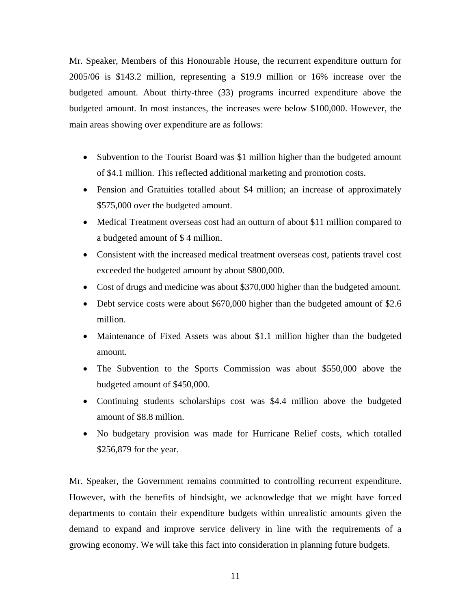Mr. Speaker, Members of this Honourable House, the recurrent expenditure outturn for 2005/06 is \$143.2 million, representing a \$19.9 million or 16% increase over the budgeted amount. About thirty-three (33) programs incurred expenditure above the budgeted amount. In most instances, the increases were below \$100,000. However, the main areas showing over expenditure are as follows:

- Subvention to the Tourist Board was \$1 million higher than the budgeted amount of \$4.1 million. This reflected additional marketing and promotion costs.
- Pension and Gratuities totalled about \$4 million; an increase of approximately \$575,000 over the budgeted amount.
- Medical Treatment overseas cost had an outturn of about \$11 million compared to a budgeted amount of \$ 4 million.
- Consistent with the increased medical treatment overseas cost, patients travel cost exceeded the budgeted amount by about \$800,000.
- Cost of drugs and medicine was about \$370,000 higher than the budgeted amount.
- Debt service costs were about \$670,000 higher than the budgeted amount of \$2.6 million.
- Maintenance of Fixed Assets was about \$1.1 million higher than the budgeted amount.
- The Subvention to the Sports Commission was about \$550,000 above the budgeted amount of \$450,000.
- Continuing students scholarships cost was \$4.4 million above the budgeted amount of \$8.8 million.
- No budgetary provision was made for Hurricane Relief costs, which totalled \$256,879 for the year.

Mr. Speaker, the Government remains committed to controlling recurrent expenditure. However, with the benefits of hindsight, we acknowledge that we might have forced departments to contain their expenditure budgets within unrealistic amounts given the demand to expand and improve service delivery in line with the requirements of a growing economy. We will take this fact into consideration in planning future budgets.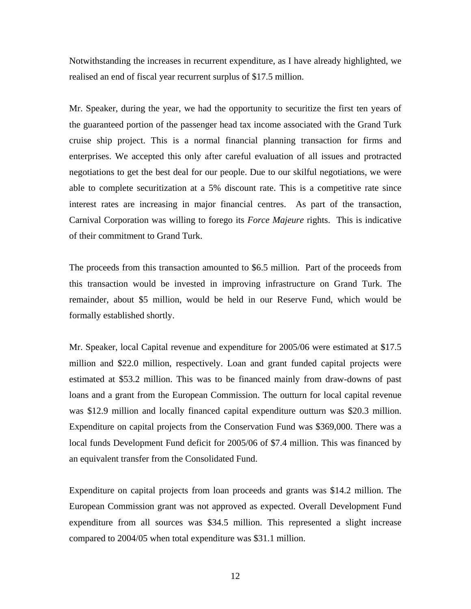Notwithstanding the increases in recurrent expenditure, as I have already highlighted, we realised an end of fiscal year recurrent surplus of \$17.5 million.

Mr. Speaker, during the year, we had the opportunity to securitize the first ten years of the guaranteed portion of the passenger head tax income associated with the Grand Turk cruise ship project. This is a normal financial planning transaction for firms and enterprises. We accepted this only after careful evaluation of all issues and protracted negotiations to get the best deal for our people. Due to our skilful negotiations, we were able to complete securitization at a 5% discount rate. This is a competitive rate since interest rates are increasing in major financial centres. As part of the transaction, Carnival Corporation was willing to forego its *Force Majeure* rights. This is indicative of their commitment to Grand Turk.

The proceeds from this transaction amounted to \$6.5 million. Part of the proceeds from this transaction would be invested in improving infrastructure on Grand Turk. The remainder, about \$5 million, would be held in our Reserve Fund, which would be formally established shortly.

Mr. Speaker, local Capital revenue and expenditure for 2005/06 were estimated at \$17.5 million and \$22.0 million, respectively. Loan and grant funded capital projects were estimated at \$53.2 million. This was to be financed mainly from draw-downs of past loans and a grant from the European Commission. The outturn for local capital revenue was \$12.9 million and locally financed capital expenditure outturn was \$20.3 million. Expenditure on capital projects from the Conservation Fund was \$369,000. There was a local funds Development Fund deficit for 2005/06 of \$7.4 million. This was financed by an equivalent transfer from the Consolidated Fund.

Expenditure on capital projects from loan proceeds and grants was \$14.2 million. The European Commission grant was not approved as expected. Overall Development Fund expenditure from all sources was \$34.5 million. This represented a slight increase compared to 2004/05 when total expenditure was \$31.1 million.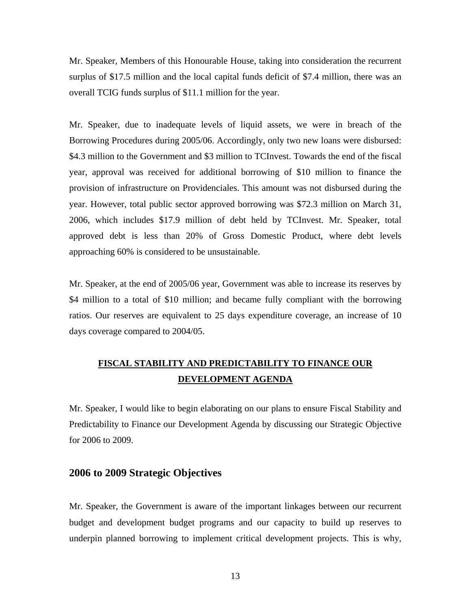Mr. Speaker, Members of this Honourable House, taking into consideration the recurrent surplus of \$17.5 million and the local capital funds deficit of \$7.4 million, there was an overall TCIG funds surplus of \$11.1 million for the year.

Mr. Speaker, due to inadequate levels of liquid assets, we were in breach of the Borrowing Procedures during 2005/06. Accordingly, only two new loans were disbursed: \$4.3 million to the Government and \$3 million to TCInvest. Towards the end of the fiscal year, approval was received for additional borrowing of \$10 million to finance the provision of infrastructure on Providenciales. This amount was not disbursed during the year. However, total public sector approved borrowing was \$72.3 million on March 31, 2006, which includes \$17.9 million of debt held by TCInvest. Mr. Speaker, total approved debt is less than 20% of Gross Domestic Product, where debt levels approaching 60% is considered to be unsustainable.

Mr. Speaker, at the end of 2005/06 year, Government was able to increase its reserves by \$4 million to a total of \$10 million; and became fully compliant with the borrowing ratios. Our reserves are equivalent to 25 days expenditure coverage, an increase of 10 days coverage compared to 2004/05.

# **FISCAL STABILITY AND PREDICTABILITY TO FINANCE OUR DEVELOPMENT AGENDA**

Mr. Speaker, I would like to begin elaborating on our plans to ensure Fiscal Stability and Predictability to Finance our Development Agenda by discussing our Strategic Objective for 2006 to 2009.

# **2006 to 2009 Strategic Objectives**

Mr. Speaker, the Government is aware of the important linkages between our recurrent budget and development budget programs and our capacity to build up reserves to underpin planned borrowing to implement critical development projects. This is why,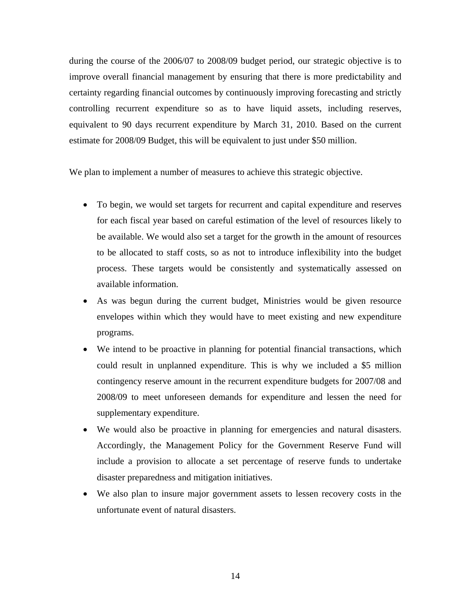during the course of the 2006/07 to 2008/09 budget period, our strategic objective is to improve overall financial management by ensuring that there is more predictability and certainty regarding financial outcomes by continuously improving forecasting and strictly controlling recurrent expenditure so as to have liquid assets, including reserves, equivalent to 90 days recurrent expenditure by March 31, 2010. Based on the current estimate for 2008/09 Budget, this will be equivalent to just under \$50 million.

We plan to implement a number of measures to achieve this strategic objective.

- To begin, we would set targets for recurrent and capital expenditure and reserves for each fiscal year based on careful estimation of the level of resources likely to be available. We would also set a target for the growth in the amount of resources to be allocated to staff costs, so as not to introduce inflexibility into the budget process. These targets would be consistently and systematically assessed on available information.
- As was begun during the current budget, Ministries would be given resource envelopes within which they would have to meet existing and new expenditure programs.
- We intend to be proactive in planning for potential financial transactions, which could result in unplanned expenditure. This is why we included a \$5 million contingency reserve amount in the recurrent expenditure budgets for 2007/08 and 2008/09 to meet unforeseen demands for expenditure and lessen the need for supplementary expenditure.
- We would also be proactive in planning for emergencies and natural disasters. Accordingly, the Management Policy for the Government Reserve Fund will include a provision to allocate a set percentage of reserve funds to undertake disaster preparedness and mitigation initiatives.
- We also plan to insure major government assets to lessen recovery costs in the unfortunate event of natural disasters.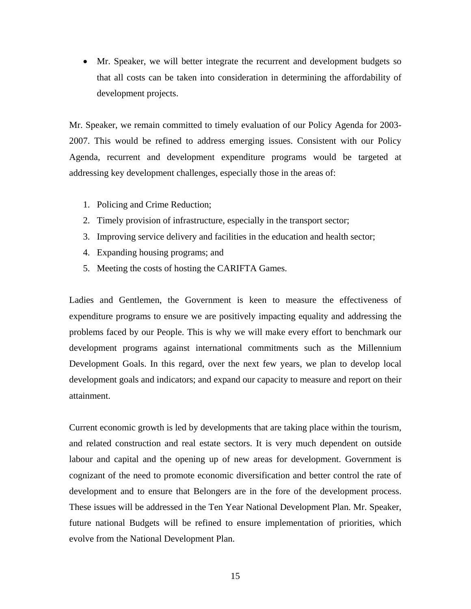• Mr. Speaker, we will better integrate the recurrent and development budgets so that all costs can be taken into consideration in determining the affordability of development projects.

Mr. Speaker, we remain committed to timely evaluation of our Policy Agenda for 2003- 2007. This would be refined to address emerging issues. Consistent with our Policy Agenda, recurrent and development expenditure programs would be targeted at addressing key development challenges, especially those in the areas of:

- 1. Policing and Crime Reduction;
- 2. Timely provision of infrastructure, especially in the transport sector;
- 3. Improving service delivery and facilities in the education and health sector;
- 4. Expanding housing programs; and
- 5. Meeting the costs of hosting the CARIFTA Games.

Ladies and Gentlemen, the Government is keen to measure the effectiveness of expenditure programs to ensure we are positively impacting equality and addressing the problems faced by our People. This is why we will make every effort to benchmark our development programs against international commitments such as the Millennium Development Goals. In this regard, over the next few years, we plan to develop local development goals and indicators; and expand our capacity to measure and report on their attainment.

Current economic growth is led by developments that are taking place within the tourism, and related construction and real estate sectors. It is very much dependent on outside labour and capital and the opening up of new areas for development. Government is cognizant of the need to promote economic diversification and better control the rate of development and to ensure that Belongers are in the fore of the development process. These issues will be addressed in the Ten Year National Development Plan. Mr. Speaker, future national Budgets will be refined to ensure implementation of priorities, which evolve from the National Development Plan.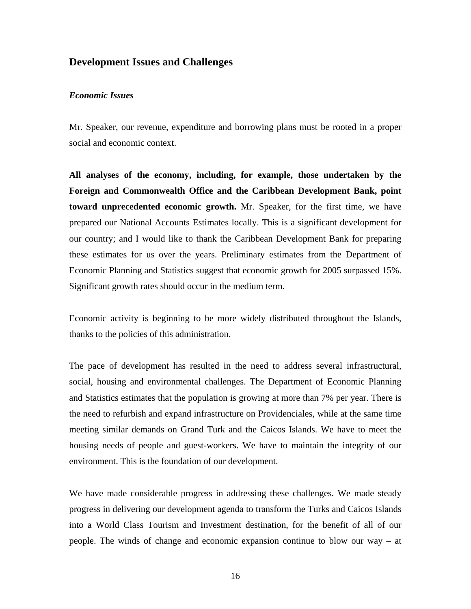# **Development Issues and Challenges**

#### *Economic Issues*

Mr. Speaker, our revenue, expenditure and borrowing plans must be rooted in a proper social and economic context.

**All analyses of the economy, including, for example, those undertaken by the Foreign and Commonwealth Office and the Caribbean Development Bank, point toward unprecedented economic growth.** Mr. Speaker, for the first time, we have prepared our National Accounts Estimates locally. This is a significant development for our country; and I would like to thank the Caribbean Development Bank for preparing these estimates for us over the years. Preliminary estimates from the Department of Economic Planning and Statistics suggest that economic growth for 2005 surpassed 15%. Significant growth rates should occur in the medium term.

Economic activity is beginning to be more widely distributed throughout the Islands, thanks to the policies of this administration.

The pace of development has resulted in the need to address several infrastructural, social, housing and environmental challenges. The Department of Economic Planning and Statistics estimates that the population is growing at more than 7% per year. There is the need to refurbish and expand infrastructure on Providenciales, while at the same time meeting similar demands on Grand Turk and the Caicos Islands. We have to meet the housing needs of people and guest-workers. We have to maintain the integrity of our environment. This is the foundation of our development.

We have made considerable progress in addressing these challenges. We made steady progress in delivering our development agenda to transform the Turks and Caicos Islands into a World Class Tourism and Investment destination, for the benefit of all of our people. The winds of change and economic expansion continue to blow our way – at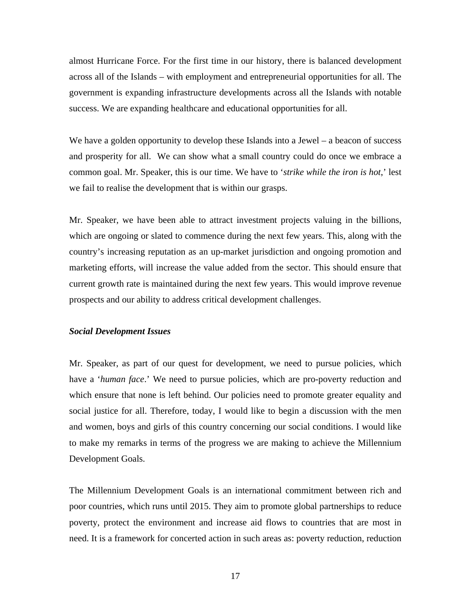almost Hurricane Force. For the first time in our history, there is balanced development across all of the Islands – with employment and entrepreneurial opportunities for all. The government is expanding infrastructure developments across all the Islands with notable success. We are expanding healthcare and educational opportunities for all.

We have a golden opportunity to develop these Islands into a Jewel – a beacon of success and prosperity for all. We can show what a small country could do once we embrace a common goal. Mr. Speaker, this is our time. We have to '*strike while the iron is hot*,' lest we fail to realise the development that is within our grasps.

Mr. Speaker, we have been able to attract investment projects valuing in the billions, which are ongoing or slated to commence during the next few years. This, along with the country's increasing reputation as an up-market jurisdiction and ongoing promotion and marketing efforts, will increase the value added from the sector. This should ensure that current growth rate is maintained during the next few years. This would improve revenue prospects and our ability to address critical development challenges.

### *Social Development Issues*

Mr. Speaker, as part of our quest for development, we need to pursue policies, which have a '*human face*.' We need to pursue policies, which are pro-poverty reduction and which ensure that none is left behind. Our policies need to promote greater equality and social justice for all. Therefore, today, I would like to begin a discussion with the men and women, boys and girls of this country concerning our social conditions. I would like to make my remarks in terms of the progress we are making to achieve the Millennium Development Goals.

The Millennium Development Goals is an international commitment between rich and poor countries, which runs until 2015. They aim to promote global partnerships to reduce poverty, protect the environment and increase aid flows to countries that are most in need. It is a framework for concerted action in such areas as: poverty reduction, reduction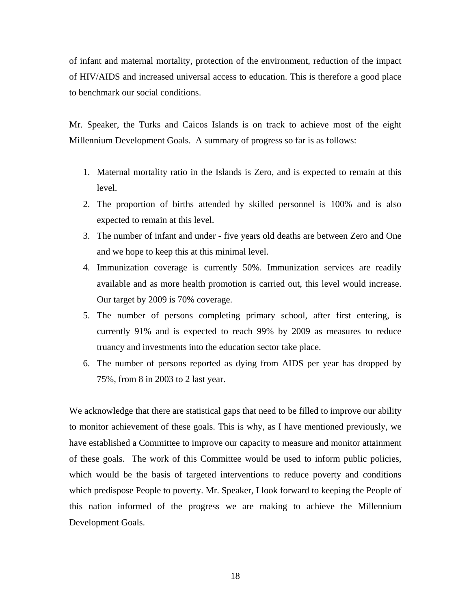of infant and maternal mortality, protection of the environment, reduction of the impact of HIV/AIDS and increased universal access to education. This is therefore a good place to benchmark our social conditions.

Mr. Speaker, the Turks and Caicos Islands is on track to achieve most of the eight Millennium Development Goals. A summary of progress so far is as follows:

- 1. Maternal mortality ratio in the Islands is Zero, and is expected to remain at this level.
- 2. The proportion of births attended by skilled personnel is 100% and is also expected to remain at this level.
- 3. The number of infant and under five years old deaths are between Zero and One and we hope to keep this at this minimal level.
- 4. Immunization coverage is currently 50%. Immunization services are readily available and as more health promotion is carried out, this level would increase. Our target by 2009 is 70% coverage.
- 5. The number of persons completing primary school, after first entering, is currently 91% and is expected to reach 99% by 2009 as measures to reduce truancy and investments into the education sector take place.
- 6. The number of persons reported as dying from AIDS per year has dropped by 75%, from 8 in 2003 to 2 last year.

We acknowledge that there are statistical gaps that need to be filled to improve our ability to monitor achievement of these goals. This is why, as I have mentioned previously, we have established a Committee to improve our capacity to measure and monitor attainment of these goals. The work of this Committee would be used to inform public policies, which would be the basis of targeted interventions to reduce poverty and conditions which predispose People to poverty. Mr. Speaker, I look forward to keeping the People of this nation informed of the progress we are making to achieve the Millennium Development Goals.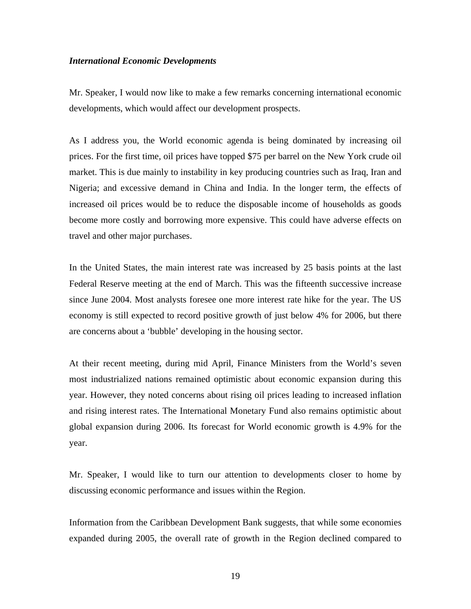#### *International Economic Developments*

Mr. Speaker, I would now like to make a few remarks concerning international economic developments, which would affect our development prospects.

As I address you, the World economic agenda is being dominated by increasing oil prices. For the first time, oil prices have topped \$75 per barrel on the New York crude oil market. This is due mainly to instability in key producing countries such as Iraq, Iran and Nigeria; and excessive demand in China and India. In the longer term, the effects of increased oil prices would be to reduce the disposable income of households as goods become more costly and borrowing more expensive. This could have adverse effects on travel and other major purchases.

In the United States, the main interest rate was increased by 25 basis points at the last Federal Reserve meeting at the end of March. This was the fifteenth successive increase since June 2004. Most analysts foresee one more interest rate hike for the year. The US economy is still expected to record positive growth of just below 4% for 2006, but there are concerns about a 'bubble' developing in the housing sector.

At their recent meeting, during mid April, Finance Ministers from the World's seven most industrialized nations remained optimistic about economic expansion during this year. However, they noted concerns about rising oil prices leading to increased inflation and rising interest rates. The International Monetary Fund also remains optimistic about global expansion during 2006. Its forecast for World economic growth is 4.9% for the year.

Mr. Speaker, I would like to turn our attention to developments closer to home by discussing economic performance and issues within the Region.

Information from the Caribbean Development Bank suggests, that while some economies expanded during 2005, the overall rate of growth in the Region declined compared to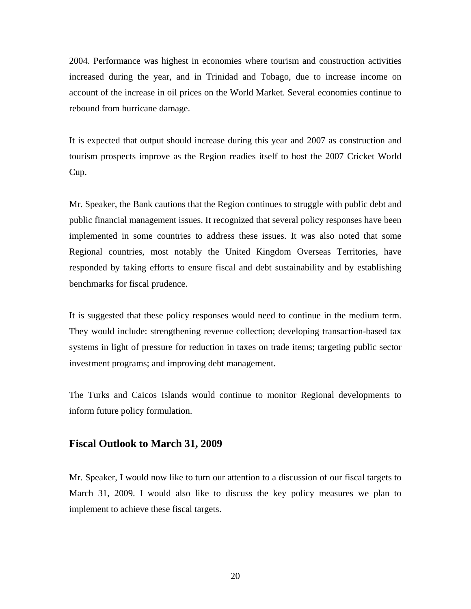2004. Performance was highest in economies where tourism and construction activities increased during the year, and in Trinidad and Tobago, due to increase income on account of the increase in oil prices on the World Market. Several economies continue to rebound from hurricane damage.

It is expected that output should increase during this year and 2007 as construction and tourism prospects improve as the Region readies itself to host the 2007 Cricket World Cup.

Mr. Speaker, the Bank cautions that the Region continues to struggle with public debt and public financial management issues. It recognized that several policy responses have been implemented in some countries to address these issues. It was also noted that some Regional countries, most notably the United Kingdom Overseas Territories, have responded by taking efforts to ensure fiscal and debt sustainability and by establishing benchmarks for fiscal prudence.

It is suggested that these policy responses would need to continue in the medium term. They would include: strengthening revenue collection; developing transaction-based tax systems in light of pressure for reduction in taxes on trade items; targeting public sector investment programs; and improving debt management.

The Turks and Caicos Islands would continue to monitor Regional developments to inform future policy formulation.

# **Fiscal Outlook to March 31, 2009**

Mr. Speaker, I would now like to turn our attention to a discussion of our fiscal targets to March 31, 2009. I would also like to discuss the key policy measures we plan to implement to achieve these fiscal targets.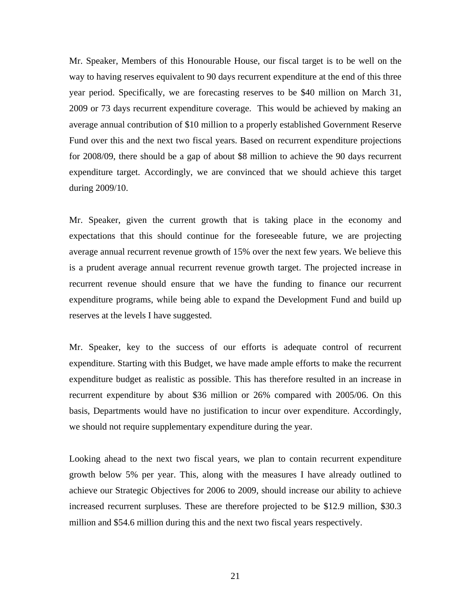Mr. Speaker, Members of this Honourable House, our fiscal target is to be well on the way to having reserves equivalent to 90 days recurrent expenditure at the end of this three year period. Specifically, we are forecasting reserves to be \$40 million on March 31, 2009 or 73 days recurrent expenditure coverage. This would be achieved by making an average annual contribution of \$10 million to a properly established Government Reserve Fund over this and the next two fiscal years. Based on recurrent expenditure projections for 2008/09, there should be a gap of about \$8 million to achieve the 90 days recurrent expenditure target. Accordingly, we are convinced that we should achieve this target during 2009/10.

Mr. Speaker, given the current growth that is taking place in the economy and expectations that this should continue for the foreseeable future, we are projecting average annual recurrent revenue growth of 15% over the next few years. We believe this is a prudent average annual recurrent revenue growth target. The projected increase in recurrent revenue should ensure that we have the funding to finance our recurrent expenditure programs, while being able to expand the Development Fund and build up reserves at the levels I have suggested.

Mr. Speaker, key to the success of our efforts is adequate control of recurrent expenditure. Starting with this Budget, we have made ample efforts to make the recurrent expenditure budget as realistic as possible. This has therefore resulted in an increase in recurrent expenditure by about \$36 million or 26% compared with 2005/06. On this basis, Departments would have no justification to incur over expenditure. Accordingly, we should not require supplementary expenditure during the year.

Looking ahead to the next two fiscal years, we plan to contain recurrent expenditure growth below 5% per year. This, along with the measures I have already outlined to achieve our Strategic Objectives for 2006 to 2009, should increase our ability to achieve increased recurrent surpluses. These are therefore projected to be \$12.9 million, \$30.3 million and \$54.6 million during this and the next two fiscal years respectively.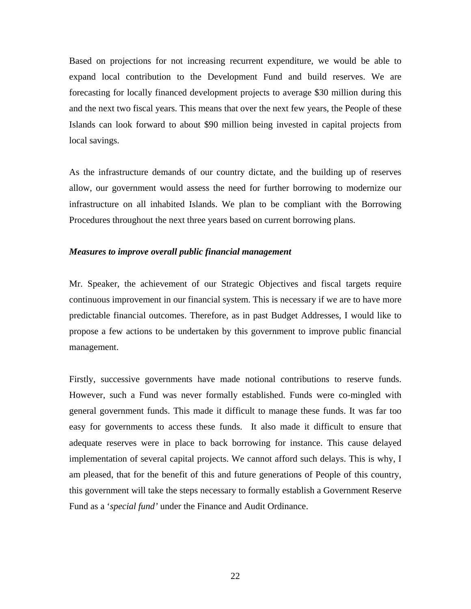Based on projections for not increasing recurrent expenditure, we would be able to expand local contribution to the Development Fund and build reserves. We are forecasting for locally financed development projects to average \$30 million during this and the next two fiscal years. This means that over the next few years, the People of these Islands can look forward to about \$90 million being invested in capital projects from local savings.

As the infrastructure demands of our country dictate, and the building up of reserves allow, our government would assess the need for further borrowing to modernize our infrastructure on all inhabited Islands. We plan to be compliant with the Borrowing Procedures throughout the next three years based on current borrowing plans.

#### *Measures to improve overall public financial management*

Mr. Speaker, the achievement of our Strategic Objectives and fiscal targets require continuous improvement in our financial system. This is necessary if we are to have more predictable financial outcomes. Therefore, as in past Budget Addresses, I would like to propose a few actions to be undertaken by this government to improve public financial management.

Firstly, successive governments have made notional contributions to reserve funds. However, such a Fund was never formally established. Funds were co-mingled with general government funds. This made it difficult to manage these funds. It was far too easy for governments to access these funds. It also made it difficult to ensure that adequate reserves were in place to back borrowing for instance. This cause delayed implementation of several capital projects. We cannot afford such delays. This is why, I am pleased, that for the benefit of this and future generations of People of this country, this government will take the steps necessary to formally establish a Government Reserve Fund as a '*special fund'* under the Finance and Audit Ordinance.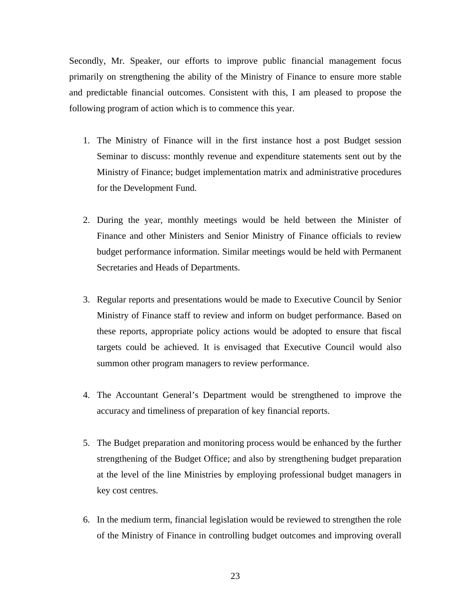Secondly, Mr. Speaker, our efforts to improve public financial management focus primarily on strengthening the ability of the Ministry of Finance to ensure more stable and predictable financial outcomes. Consistent with this, I am pleased to propose the following program of action which is to commence this year.

- 1. The Ministry of Finance will in the first instance host a post Budget session Seminar to discuss: monthly revenue and expenditure statements sent out by the Ministry of Finance; budget implementation matrix and administrative procedures for the Development Fund.
- 2. During the year, monthly meetings would be held between the Minister of Finance and other Ministers and Senior Ministry of Finance officials to review budget performance information. Similar meetings would be held with Permanent Secretaries and Heads of Departments.
- 3. Regular reports and presentations would be made to Executive Council by Senior Ministry of Finance staff to review and inform on budget performance. Based on these reports, appropriate policy actions would be adopted to ensure that fiscal targets could be achieved. It is envisaged that Executive Council would also summon other program managers to review performance.
- 4. The Accountant General's Department would be strengthened to improve the accuracy and timeliness of preparation of key financial reports.
- 5. The Budget preparation and monitoring process would be enhanced by the further strengthening of the Budget Office; and also by strengthening budget preparation at the level of the line Ministries by employing professional budget managers in key cost centres.
- 6. In the medium term, financial legislation would be reviewed to strengthen the role of the Ministry of Finance in controlling budget outcomes and improving overall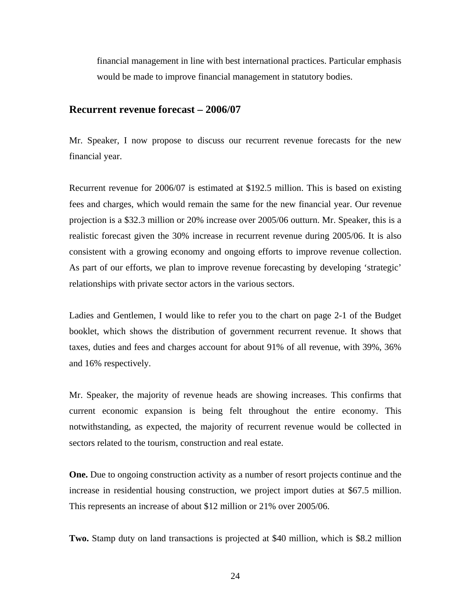financial management in line with best international practices. Particular emphasis would be made to improve financial management in statutory bodies.

### **Recurrent revenue forecast – 2006/07**

Mr. Speaker, I now propose to discuss our recurrent revenue forecasts for the new financial year.

Recurrent revenue for 2006/07 is estimated at \$192.5 million. This is based on existing fees and charges, which would remain the same for the new financial year. Our revenue projection is a \$32.3 million or 20% increase over 2005/06 outturn. Mr. Speaker, this is a realistic forecast given the 30% increase in recurrent revenue during 2005/06. It is also consistent with a growing economy and ongoing efforts to improve revenue collection. As part of our efforts, we plan to improve revenue forecasting by developing 'strategic' relationships with private sector actors in the various sectors.

Ladies and Gentlemen, I would like to refer you to the chart on page 2-1 of the Budget booklet, which shows the distribution of government recurrent revenue. It shows that taxes, duties and fees and charges account for about 91% of all revenue, with 39%, 36% and 16% respectively.

Mr. Speaker, the majority of revenue heads are showing increases. This confirms that current economic expansion is being felt throughout the entire economy. This notwithstanding, as expected, the majority of recurrent revenue would be collected in sectors related to the tourism, construction and real estate.

**One.** Due to ongoing construction activity as a number of resort projects continue and the increase in residential housing construction, we project import duties at \$67.5 million. This represents an increase of about \$12 million or 21% over 2005/06.

**Two.** Stamp duty on land transactions is projected at \$40 million, which is \$8.2 million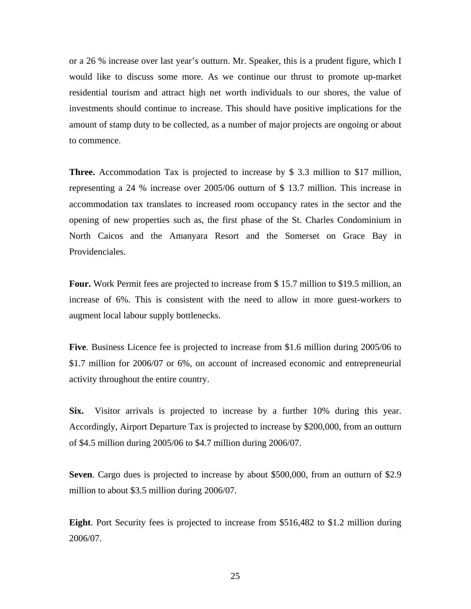or a 26 % increase over last year's outturn. Mr. Speaker, this is a prudent figure, which I would like to discuss some more. As we continue our thrust to promote up-market residential tourism and attract high net worth individuals to our shores, the value of investments should continue to increase. This should have positive implications for the amount of stamp duty to be collected, as a number of major projects are ongoing or about to commence.

**Three.** Accommodation Tax is projected to increase by \$ 3.3 million to \$17 million, representing a 24 % increase over 2005/06 outturn of \$ 13.7 million. This increase in accommodation tax translates to increased room occupancy rates in the sector and the opening of new properties such as, the first phase of the St. Charles Condominium in North Caicos and the Amanyara Resort and the Somerset on Grace Bay in Providenciales.

**Four.** Work Permit fees are projected to increase from \$ 15.7 million to \$19.5 million, an increase of 6%. This is consistent with the need to allow in more guest-workers to augment local labour supply bottlenecks.

**Five**. Business Licence fee is projected to increase from \$1.6 million during 2005/06 to \$1.7 million for 2006/07 or 6%, on account of increased economic and entrepreneurial activity throughout the entire country.

**Six.** Visitor arrivals is projected to increase by a further 10% during this year. Accordingly, Airport Departure Tax is projected to increase by \$200,000, from an outturn of \$4.5 million during 2005/06 to \$4.7 million during 2006/07.

**Seven**. Cargo dues is projected to increase by about \$500,000, from an outturn of \$2.9 million to about \$3.5 million during 2006/07.

**Eight**. Port Security fees is projected to increase from \$516,482 to \$1.2 million during 2006/07.

25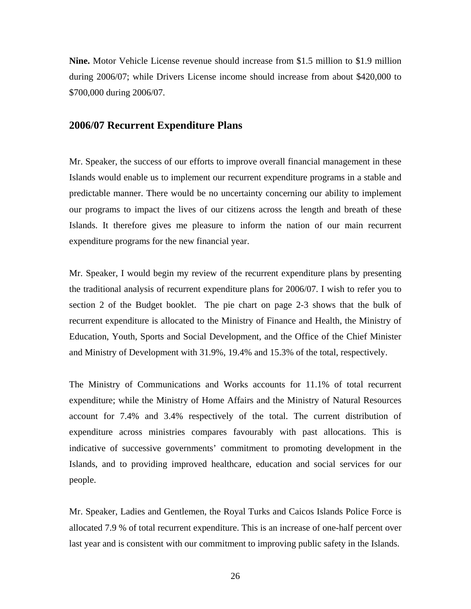**Nine.** Motor Vehicle License revenue should increase from \$1.5 million to \$1.9 million during 2006/07; while Drivers License income should increase from about \$420,000 to \$700,000 during 2006/07.

### **2006/07 Recurrent Expenditure Plans**

Mr. Speaker, the success of our efforts to improve overall financial management in these Islands would enable us to implement our recurrent expenditure programs in a stable and predictable manner. There would be no uncertainty concerning our ability to implement our programs to impact the lives of our citizens across the length and breath of these Islands. It therefore gives me pleasure to inform the nation of our main recurrent expenditure programs for the new financial year.

Mr. Speaker, I would begin my review of the recurrent expenditure plans by presenting the traditional analysis of recurrent expenditure plans for 2006/07. I wish to refer you to section 2 of the Budget booklet. The pie chart on page 2-3 shows that the bulk of recurrent expenditure is allocated to the Ministry of Finance and Health, the Ministry of Education, Youth, Sports and Social Development, and the Office of the Chief Minister and Ministry of Development with 31.9%, 19.4% and 15.3% of the total, respectively.

The Ministry of Communications and Works accounts for 11.1% of total recurrent expenditure; while the Ministry of Home Affairs and the Ministry of Natural Resources account for 7.4% and 3.4% respectively of the total. The current distribution of expenditure across ministries compares favourably with past allocations. This is indicative of successive governments' commitment to promoting development in the Islands, and to providing improved healthcare, education and social services for our people.

Mr. Speaker, Ladies and Gentlemen, the Royal Turks and Caicos Islands Police Force is allocated 7.9 % of total recurrent expenditure. This is an increase of one-half percent over last year and is consistent with our commitment to improving public safety in the Islands.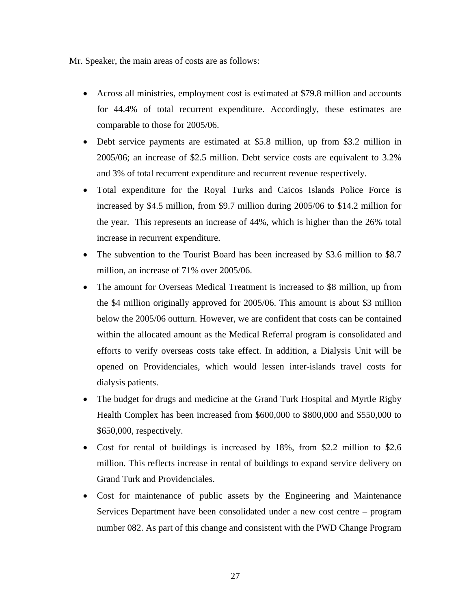Mr. Speaker, the main areas of costs are as follows:

- Across all ministries, employment cost is estimated at \$79.8 million and accounts for 44.4% of total recurrent expenditure. Accordingly, these estimates are comparable to those for 2005/06.
- Debt service payments are estimated at \$5.8 million, up from \$3.2 million in 2005/06; an increase of \$2.5 million. Debt service costs are equivalent to 3.2% and 3% of total recurrent expenditure and recurrent revenue respectively.
- Total expenditure for the Royal Turks and Caicos Islands Police Force is increased by \$4.5 million, from \$9.7 million during 2005/06 to \$14.2 million for the year. This represents an increase of 44%, which is higher than the 26% total increase in recurrent expenditure.
- The subvention to the Tourist Board has been increased by \$3.6 million to \$8.7 million, an increase of 71% over 2005/06.
- The amount for Overseas Medical Treatment is increased to \$8 million, up from the \$4 million originally approved for 2005/06. This amount is about \$3 million below the 2005/06 outturn. However, we are confident that costs can be contained within the allocated amount as the Medical Referral program is consolidated and efforts to verify overseas costs take effect. In addition, a Dialysis Unit will be opened on Providenciales, which would lessen inter-islands travel costs for dialysis patients.
- The budget for drugs and medicine at the Grand Turk Hospital and Myrtle Rigby Health Complex has been increased from \$600,000 to \$800,000 and \$550,000 to \$650,000, respectively.
- Cost for rental of buildings is increased by 18%, from \$2.2 million to \$2.6 million. This reflects increase in rental of buildings to expand service delivery on Grand Turk and Providenciales.
- Cost for maintenance of public assets by the Engineering and Maintenance Services Department have been consolidated under a new cost centre – program number 082. As part of this change and consistent with the PWD Change Program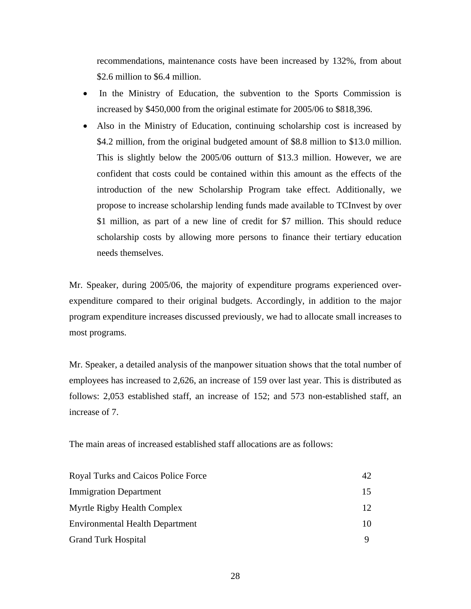recommendations, maintenance costs have been increased by 132%, from about \$2.6 million to \$6.4 million.

- In the Ministry of Education, the subvention to the Sports Commission is increased by \$450,000 from the original estimate for 2005/06 to \$818,396.
- Also in the Ministry of Education, continuing scholarship cost is increased by \$4.2 million, from the original budgeted amount of \$8.8 million to \$13.0 million. This is slightly below the 2005/06 outturn of \$13.3 million. However, we are confident that costs could be contained within this amount as the effects of the introduction of the new Scholarship Program take effect. Additionally, we propose to increase scholarship lending funds made available to TCInvest by over \$1 million, as part of a new line of credit for \$7 million. This should reduce scholarship costs by allowing more persons to finance their tertiary education needs themselves.

Mr. Speaker, during 2005/06, the majority of expenditure programs experienced overexpenditure compared to their original budgets. Accordingly, in addition to the major program expenditure increases discussed previously, we had to allocate small increases to most programs.

Mr. Speaker, a detailed analysis of the manpower situation shows that the total number of employees has increased to 2,626, an increase of 159 over last year. This is distributed as follows: 2,053 established staff, an increase of 152; and 573 non-established staff, an increase of 7.

The main areas of increased established staff allocations are as follows:

| Royal Turks and Caicos Police Force    | 42              |
|----------------------------------------|-----------------|
| <b>Immigration Department</b>          | 15.             |
| Myrtle Rigby Health Complex            | 12 <sup>7</sup> |
| <b>Environmental Health Department</b> | 10              |
| <b>Grand Turk Hospital</b>             |                 |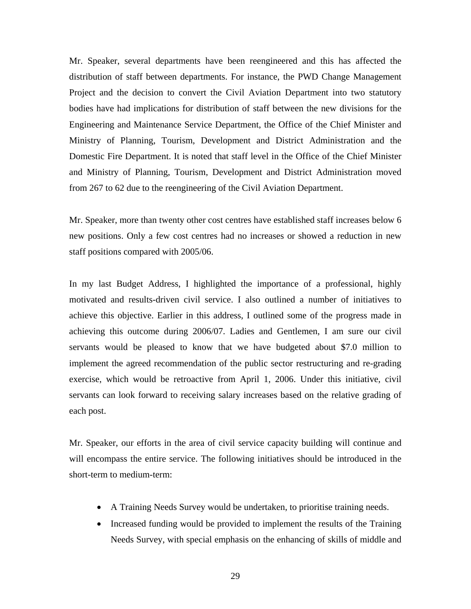Mr. Speaker, several departments have been reengineered and this has affected the distribution of staff between departments. For instance, the PWD Change Management Project and the decision to convert the Civil Aviation Department into two statutory bodies have had implications for distribution of staff between the new divisions for the Engineering and Maintenance Service Department, the Office of the Chief Minister and Ministry of Planning, Tourism, Development and District Administration and the Domestic Fire Department. It is noted that staff level in the Office of the Chief Minister and Ministry of Planning, Tourism, Development and District Administration moved from 267 to 62 due to the reengineering of the Civil Aviation Department.

Mr. Speaker, more than twenty other cost centres have established staff increases below 6 new positions. Only a few cost centres had no increases or showed a reduction in new staff positions compared with 2005/06.

In my last Budget Address, I highlighted the importance of a professional, highly motivated and results-driven civil service. I also outlined a number of initiatives to achieve this objective. Earlier in this address, I outlined some of the progress made in achieving this outcome during 2006/07. Ladies and Gentlemen, I am sure our civil servants would be pleased to know that we have budgeted about \$7.0 million to implement the agreed recommendation of the public sector restructuring and re-grading exercise, which would be retroactive from April 1, 2006. Under this initiative, civil servants can look forward to receiving salary increases based on the relative grading of each post.

Mr. Speaker, our efforts in the area of civil service capacity building will continue and will encompass the entire service. The following initiatives should be introduced in the short-term to medium-term:

- A Training Needs Survey would be undertaken, to prioritise training needs.
- Increased funding would be provided to implement the results of the Training Needs Survey, with special emphasis on the enhancing of skills of middle and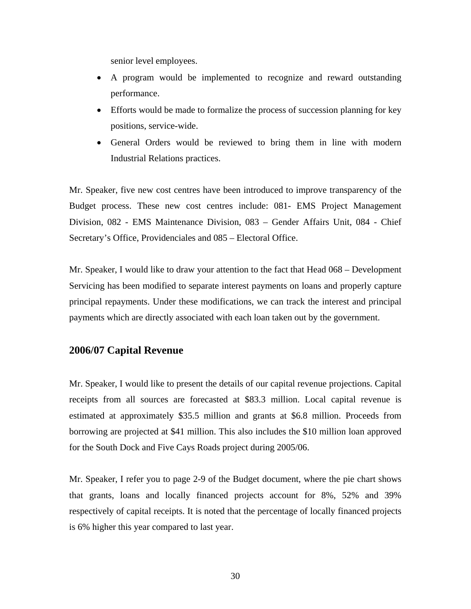senior level employees.

- A program would be implemented to recognize and reward outstanding performance.
- Efforts would be made to formalize the process of succession planning for key positions, service-wide.
- General Orders would be reviewed to bring them in line with modern Industrial Relations practices.

Mr. Speaker, five new cost centres have been introduced to improve transparency of the Budget process. These new cost centres include: 081- EMS Project Management Division, 082 - EMS Maintenance Division, 083 – Gender Affairs Unit, 084 - Chief Secretary's Office, Providenciales and 085 – Electoral Office.

Mr. Speaker, I would like to draw your attention to the fact that Head 068 – Development Servicing has been modified to separate interest payments on loans and properly capture principal repayments. Under these modifications, we can track the interest and principal payments which are directly associated with each loan taken out by the government.

### **2006/07 Capital Revenue**

Mr. Speaker, I would like to present the details of our capital revenue projections. Capital receipts from all sources are forecasted at \$83.3 million. Local capital revenue is estimated at approximately \$35.5 million and grants at \$6.8 million. Proceeds from borrowing are projected at \$41 million. This also includes the \$10 million loan approved for the South Dock and Five Cays Roads project during 2005/06.

Mr. Speaker, I refer you to page 2-9 of the Budget document, where the pie chart shows that grants, loans and locally financed projects account for 8%, 52% and 39% respectively of capital receipts. It is noted that the percentage of locally financed projects is 6% higher this year compared to last year.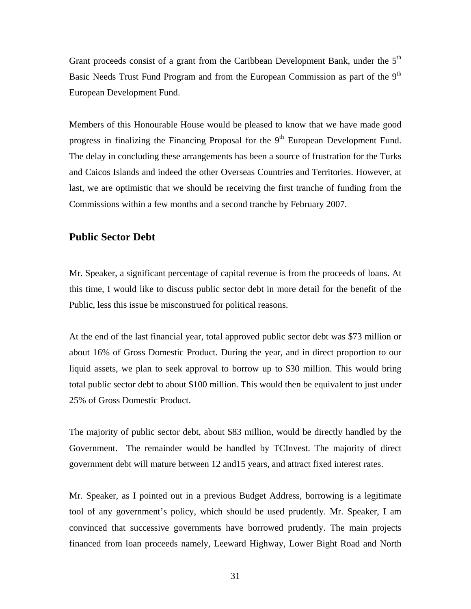Grant proceeds consist of a grant from the Caribbean Development Bank, under the 5<sup>th</sup> Basic Needs Trust Fund Program and from the European Commission as part of the  $9<sup>th</sup>$ European Development Fund.

Members of this Honourable House would be pleased to know that we have made good progress in finalizing the Financing Proposal for the 9<sup>th</sup> European Development Fund. The delay in concluding these arrangements has been a source of frustration for the Turks and Caicos Islands and indeed the other Overseas Countries and Territories. However, at last, we are optimistic that we should be receiving the first tranche of funding from the Commissions within a few months and a second tranche by February 2007.

## **Public Sector Debt**

Mr. Speaker, a significant percentage of capital revenue is from the proceeds of loans. At this time, I would like to discuss public sector debt in more detail for the benefit of the Public, less this issue be misconstrued for political reasons.

At the end of the last financial year, total approved public sector debt was \$73 million or about 16% of Gross Domestic Product. During the year, and in direct proportion to our liquid assets, we plan to seek approval to borrow up to \$30 million. This would bring total public sector debt to about \$100 million. This would then be equivalent to just under 25% of Gross Domestic Product.

The majority of public sector debt, about \$83 million, would be directly handled by the Government. The remainder would be handled by TCInvest. The majority of direct government debt will mature between 12 and15 years, and attract fixed interest rates.

Mr. Speaker, as I pointed out in a previous Budget Address, borrowing is a legitimate tool of any government's policy, which should be used prudently. Mr. Speaker, I am convinced that successive governments have borrowed prudently. The main projects financed from loan proceeds namely, Leeward Highway, Lower Bight Road and North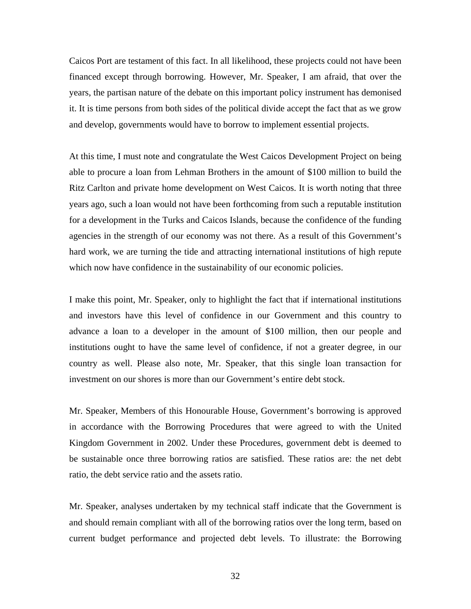Caicos Port are testament of this fact. In all likelihood, these projects could not have been financed except through borrowing. However, Mr. Speaker, I am afraid, that over the years, the partisan nature of the debate on this important policy instrument has demonised it. It is time persons from both sides of the political divide accept the fact that as we grow and develop, governments would have to borrow to implement essential projects.

At this time, I must note and congratulate the West Caicos Development Project on being able to procure a loan from Lehman Brothers in the amount of \$100 million to build the Ritz Carlton and private home development on West Caicos. It is worth noting that three years ago, such a loan would not have been forthcoming from such a reputable institution for a development in the Turks and Caicos Islands, because the confidence of the funding agencies in the strength of our economy was not there. As a result of this Government's hard work, we are turning the tide and attracting international institutions of high repute which now have confidence in the sustainability of our economic policies.

I make this point, Mr. Speaker, only to highlight the fact that if international institutions and investors have this level of confidence in our Government and this country to advance a loan to a developer in the amount of \$100 million, then our people and institutions ought to have the same level of confidence, if not a greater degree, in our country as well. Please also note, Mr. Speaker, that this single loan transaction for investment on our shores is more than our Government's entire debt stock.

Mr. Speaker, Members of this Honourable House, Government's borrowing is approved in accordance with the Borrowing Procedures that were agreed to with the United Kingdom Government in 2002. Under these Procedures, government debt is deemed to be sustainable once three borrowing ratios are satisfied. These ratios are: the net debt ratio, the debt service ratio and the assets ratio.

Mr. Speaker, analyses undertaken by my technical staff indicate that the Government is and should remain compliant with all of the borrowing ratios over the long term, based on current budget performance and projected debt levels. To illustrate: the Borrowing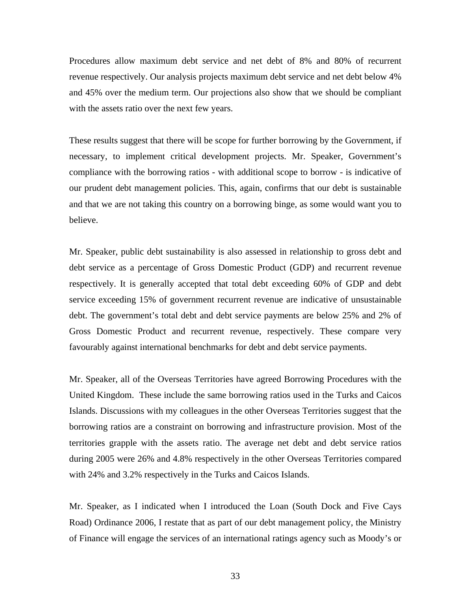Procedures allow maximum debt service and net debt of 8% and 80% of recurrent revenue respectively. Our analysis projects maximum debt service and net debt below 4% and 45% over the medium term. Our projections also show that we should be compliant with the assets ratio over the next few years.

These results suggest that there will be scope for further borrowing by the Government, if necessary, to implement critical development projects. Mr. Speaker, Government's compliance with the borrowing ratios - with additional scope to borrow - is indicative of our prudent debt management policies. This, again, confirms that our debt is sustainable and that we are not taking this country on a borrowing binge, as some would want you to believe.

Mr. Speaker, public debt sustainability is also assessed in relationship to gross debt and debt service as a percentage of Gross Domestic Product (GDP) and recurrent revenue respectively. It is generally accepted that total debt exceeding 60% of GDP and debt service exceeding 15% of government recurrent revenue are indicative of unsustainable debt. The government's total debt and debt service payments are below 25% and 2% of Gross Domestic Product and recurrent revenue, respectively. These compare very favourably against international benchmarks for debt and debt service payments.

Mr. Speaker, all of the Overseas Territories have agreed Borrowing Procedures with the United Kingdom. These include the same borrowing ratios used in the Turks and Caicos Islands. Discussions with my colleagues in the other Overseas Territories suggest that the borrowing ratios are a constraint on borrowing and infrastructure provision. Most of the territories grapple with the assets ratio. The average net debt and debt service ratios during 2005 were 26% and 4.8% respectively in the other Overseas Territories compared with 24% and 3.2% respectively in the Turks and Caicos Islands.

Mr. Speaker, as I indicated when I introduced the Loan (South Dock and Five Cays Road) Ordinance 2006, I restate that as part of our debt management policy, the Ministry of Finance will engage the services of an international ratings agency such as Moody's or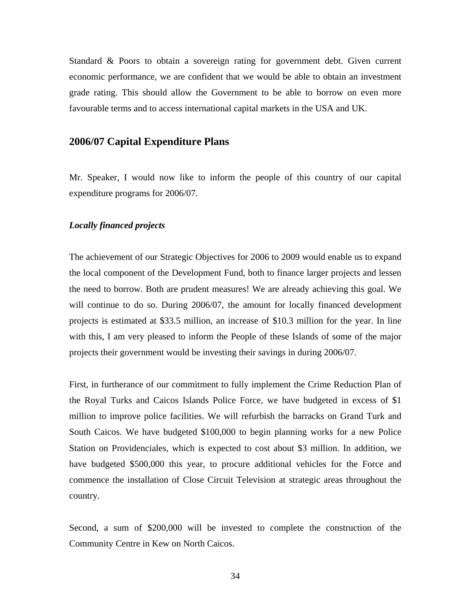Standard & Poors to obtain a sovereign rating for government debt. Given current economic performance, we are confident that we would be able to obtain an investment grade rating. This should allow the Government to be able to borrow on even more favourable terms and to access international capital markets in the USA and UK.

# **2006/07 Capital Expenditure Plans**

Mr. Speaker, I would now like to inform the people of this country of our capital expenditure programs for 2006/07.

### *Locally financed projects*

The achievement of our Strategic Objectives for 2006 to 2009 would enable us to expand the local component of the Development Fund, both to finance larger projects and lessen the need to borrow. Both are prudent measures! We are already achieving this goal. We will continue to do so. During 2006/07, the amount for locally financed development projects is estimated at \$33.5 million, an increase of \$10.3 million for the year. In line with this, I am very pleased to inform the People of these Islands of some of the major projects their government would be investing their savings in during 2006/07.

First, in furtherance of our commitment to fully implement the Crime Reduction Plan of the Royal Turks and Caicos Islands Police Force, we have budgeted in excess of \$1 million to improve police facilities. We will refurbish the barracks on Grand Turk and South Caicos. We have budgeted \$100,000 to begin planning works for a new Police Station on Providenciales, which is expected to cost about \$3 million. In addition, we have budgeted \$500,000 this year, to procure additional vehicles for the Force and commence the installation of Close Circuit Television at strategic areas throughout the country.

Second, a sum of \$200,000 will be invested to complete the construction of the Community Centre in Kew on North Caicos.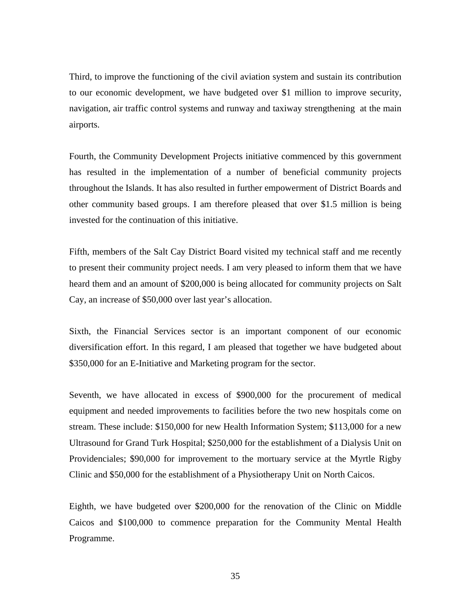Third, to improve the functioning of the civil aviation system and sustain its contribution to our economic development, we have budgeted over \$1 million to improve security, navigation, air traffic control systems and runway and taxiway strengthening at the main airports.

Fourth, the Community Development Projects initiative commenced by this government has resulted in the implementation of a number of beneficial community projects throughout the Islands. It has also resulted in further empowerment of District Boards and other community based groups. I am therefore pleased that over \$1.5 million is being invested for the continuation of this initiative.

Fifth, members of the Salt Cay District Board visited my technical staff and me recently to present their community project needs. I am very pleased to inform them that we have heard them and an amount of \$200,000 is being allocated for community projects on Salt Cay, an increase of \$50,000 over last year's allocation.

Sixth, the Financial Services sector is an important component of our economic diversification effort. In this regard, I am pleased that together we have budgeted about \$350,000 for an E-Initiative and Marketing program for the sector.

Seventh, we have allocated in excess of \$900,000 for the procurement of medical equipment and needed improvements to facilities before the two new hospitals come on stream. These include: \$150,000 for new Health Information System; \$113,000 for a new Ultrasound for Grand Turk Hospital; \$250,000 for the establishment of a Dialysis Unit on Providenciales; \$90,000 for improvement to the mortuary service at the Myrtle Rigby Clinic and \$50,000 for the establishment of a Physiotherapy Unit on North Caicos.

Eighth, we have budgeted over \$200,000 for the renovation of the Clinic on Middle Caicos and \$100,000 to commence preparation for the Community Mental Health Programme.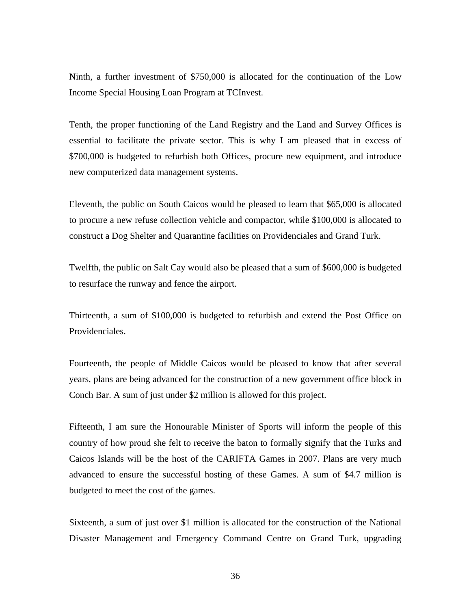Ninth, a further investment of \$750,000 is allocated for the continuation of the Low Income Special Housing Loan Program at TCInvest.

Tenth, the proper functioning of the Land Registry and the Land and Survey Offices is essential to facilitate the private sector. This is why I am pleased that in excess of \$700,000 is budgeted to refurbish both Offices, procure new equipment, and introduce new computerized data management systems.

Eleventh, the public on South Caicos would be pleased to learn that \$65,000 is allocated to procure a new refuse collection vehicle and compactor, while \$100,000 is allocated to construct a Dog Shelter and Quarantine facilities on Providenciales and Grand Turk.

Twelfth, the public on Salt Cay would also be pleased that a sum of \$600,000 is budgeted to resurface the runway and fence the airport.

Thirteenth, a sum of \$100,000 is budgeted to refurbish and extend the Post Office on Providenciales.

Fourteenth, the people of Middle Caicos would be pleased to know that after several years, plans are being advanced for the construction of a new government office block in Conch Bar. A sum of just under \$2 million is allowed for this project.

Fifteenth, I am sure the Honourable Minister of Sports will inform the people of this country of how proud she felt to receive the baton to formally signify that the Turks and Caicos Islands will be the host of the CARIFTA Games in 2007. Plans are very much advanced to ensure the successful hosting of these Games. A sum of \$4.7 million is budgeted to meet the cost of the games.

Sixteenth, a sum of just over \$1 million is allocated for the construction of the National Disaster Management and Emergency Command Centre on Grand Turk, upgrading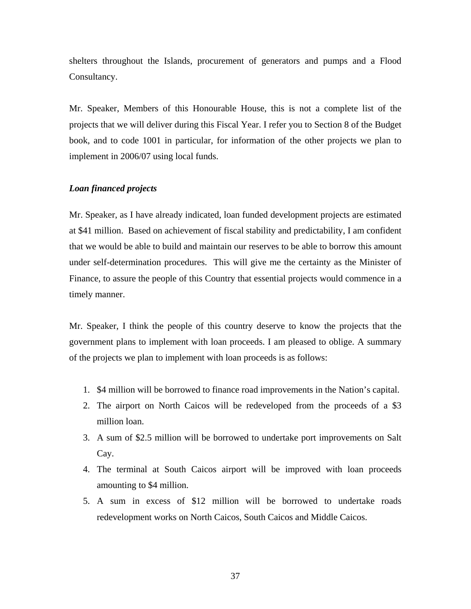shelters throughout the Islands, procurement of generators and pumps and a Flood Consultancy.

Mr. Speaker, Members of this Honourable House, this is not a complete list of the projects that we will deliver during this Fiscal Year. I refer you to Section 8 of the Budget book, and to code 1001 in particular, for information of the other projects we plan to implement in 2006/07 using local funds.

# *Loan financed projects*

Mr. Speaker, as I have already indicated, loan funded development projects are estimated at \$41 million. Based on achievement of fiscal stability and predictability, I am confident that we would be able to build and maintain our reserves to be able to borrow this amount under self-determination procedures. This will give me the certainty as the Minister of Finance, to assure the people of this Country that essential projects would commence in a timely manner.

Mr. Speaker, I think the people of this country deserve to know the projects that the government plans to implement with loan proceeds. I am pleased to oblige. A summary of the projects we plan to implement with loan proceeds is as follows:

- 1. \$4 million will be borrowed to finance road improvements in the Nation's capital.
- 2. The airport on North Caicos will be redeveloped from the proceeds of a \$3 million loan.
- 3. A sum of \$2.5 million will be borrowed to undertake port improvements on Salt Cay.
- 4. The terminal at South Caicos airport will be improved with loan proceeds amounting to \$4 million.
- 5. A sum in excess of \$12 million will be borrowed to undertake roads redevelopment works on North Caicos, South Caicos and Middle Caicos.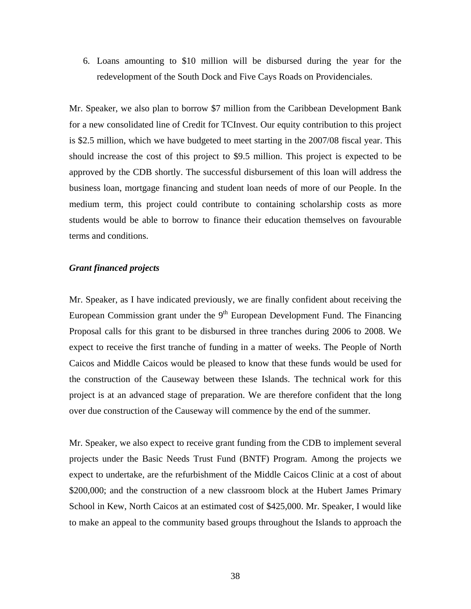6. Loans amounting to \$10 million will be disbursed during the year for the redevelopment of the South Dock and Five Cays Roads on Providenciales.

Mr. Speaker, we also plan to borrow \$7 million from the Caribbean Development Bank for a new consolidated line of Credit for TCInvest. Our equity contribution to this project is \$2.5 million, which we have budgeted to meet starting in the 2007/08 fiscal year. This should increase the cost of this project to \$9.5 million. This project is expected to be approved by the CDB shortly. The successful disbursement of this loan will address the business loan, mortgage financing and student loan needs of more of our People. In the medium term, this project could contribute to containing scholarship costs as more students would be able to borrow to finance their education themselves on favourable terms and conditions.

### *Grant financed projects*

Mr. Speaker, as I have indicated previously, we are finally confident about receiving the European Commission grant under the  $9<sup>th</sup>$  European Development Fund. The Financing Proposal calls for this grant to be disbursed in three tranches during 2006 to 2008. We expect to receive the first tranche of funding in a matter of weeks. The People of North Caicos and Middle Caicos would be pleased to know that these funds would be used for the construction of the Causeway between these Islands. The technical work for this project is at an advanced stage of preparation. We are therefore confident that the long over due construction of the Causeway will commence by the end of the summer.

Mr. Speaker, we also expect to receive grant funding from the CDB to implement several projects under the Basic Needs Trust Fund (BNTF) Program. Among the projects we expect to undertake, are the refurbishment of the Middle Caicos Clinic at a cost of about \$200,000; and the construction of a new classroom block at the Hubert James Primary School in Kew, North Caicos at an estimated cost of \$425,000. Mr. Speaker, I would like to make an appeal to the community based groups throughout the Islands to approach the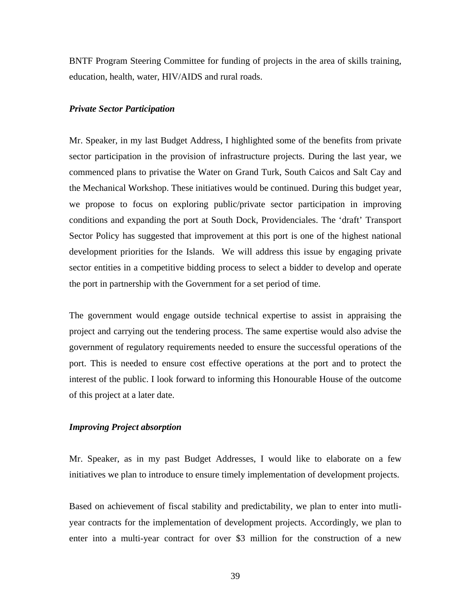BNTF Program Steering Committee for funding of projects in the area of skills training, education, health, water, HIV/AIDS and rural roads.

#### *Private Sector Participation*

Mr. Speaker, in my last Budget Address, I highlighted some of the benefits from private sector participation in the provision of infrastructure projects. During the last year, we commenced plans to privatise the Water on Grand Turk, South Caicos and Salt Cay and the Mechanical Workshop. These initiatives would be continued. During this budget year, we propose to focus on exploring public/private sector participation in improving conditions and expanding the port at South Dock, Providenciales. The 'draft' Transport Sector Policy has suggested that improvement at this port is one of the highest national development priorities for the Islands. We will address this issue by engaging private sector entities in a competitive bidding process to select a bidder to develop and operate the port in partnership with the Government for a set period of time.

The government would engage outside technical expertise to assist in appraising the project and carrying out the tendering process. The same expertise would also advise the government of regulatory requirements needed to ensure the successful operations of the port. This is needed to ensure cost effective operations at the port and to protect the interest of the public. I look forward to informing this Honourable House of the outcome of this project at a later date.

### *Improving Project absorption*

Mr. Speaker, as in my past Budget Addresses, I would like to elaborate on a few initiatives we plan to introduce to ensure timely implementation of development projects.

Based on achievement of fiscal stability and predictability, we plan to enter into mutliyear contracts for the implementation of development projects. Accordingly, we plan to enter into a multi-year contract for over \$3 million for the construction of a new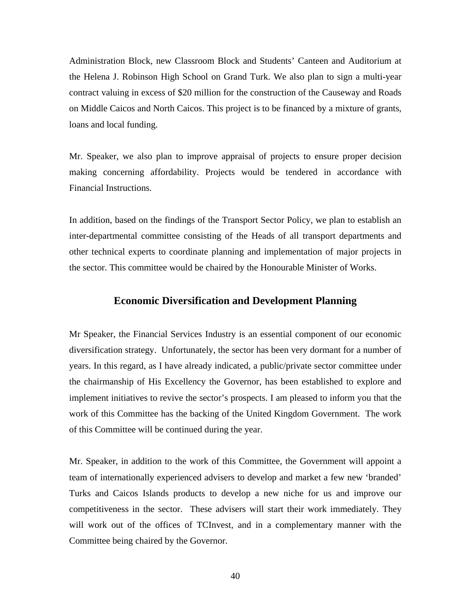Administration Block, new Classroom Block and Students' Canteen and Auditorium at the Helena J. Robinson High School on Grand Turk. We also plan to sign a multi-year contract valuing in excess of \$20 million for the construction of the Causeway and Roads on Middle Caicos and North Caicos. This project is to be financed by a mixture of grants, loans and local funding.

Mr. Speaker, we also plan to improve appraisal of projects to ensure proper decision making concerning affordability. Projects would be tendered in accordance with Financial Instructions.

In addition, based on the findings of the Transport Sector Policy, we plan to establish an inter-departmental committee consisting of the Heads of all transport departments and other technical experts to coordinate planning and implementation of major projects in the sector. This committee would be chaired by the Honourable Minister of Works.

# **Economic Diversification and Development Planning**

Mr Speaker, the Financial Services Industry is an essential component of our economic diversification strategy. Unfortunately, the sector has been very dormant for a number of years. In this regard, as I have already indicated, a public/private sector committee under the chairmanship of His Excellency the Governor, has been established to explore and implement initiatives to revive the sector's prospects. I am pleased to inform you that the work of this Committee has the backing of the United Kingdom Government. The work of this Committee will be continued during the year.

Mr. Speaker, in addition to the work of this Committee, the Government will appoint a team of internationally experienced advisers to develop and market a few new 'branded' Turks and Caicos Islands products to develop a new niche for us and improve our competitiveness in the sector. These advisers will start their work immediately. They will work out of the offices of TCInvest, and in a complementary manner with the Committee being chaired by the Governor.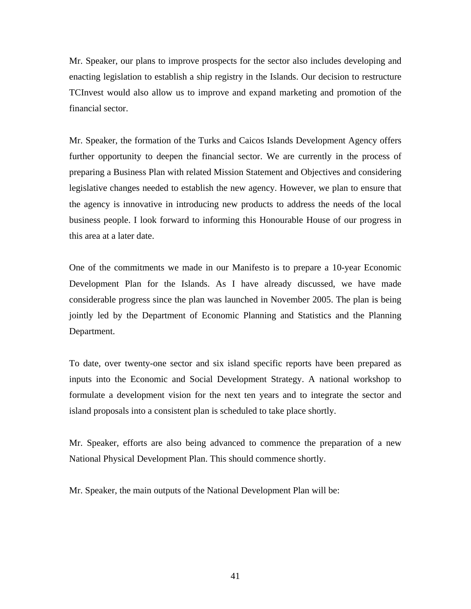Mr. Speaker, our plans to improve prospects for the sector also includes developing and enacting legislation to establish a ship registry in the Islands. Our decision to restructure TCInvest would also allow us to improve and expand marketing and promotion of the financial sector.

Mr. Speaker, the formation of the Turks and Caicos Islands Development Agency offers further opportunity to deepen the financial sector. We are currently in the process of preparing a Business Plan with related Mission Statement and Objectives and considering legislative changes needed to establish the new agency. However, we plan to ensure that the agency is innovative in introducing new products to address the needs of the local business people. I look forward to informing this Honourable House of our progress in this area at a later date.

One of the commitments we made in our Manifesto is to prepare a 10-year Economic Development Plan for the Islands. As I have already discussed, we have made considerable progress since the plan was launched in November 2005. The plan is being jointly led by the Department of Economic Planning and Statistics and the Planning Department.

To date, over twenty-one sector and six island specific reports have been prepared as inputs into the Economic and Social Development Strategy. A national workshop to formulate a development vision for the next ten years and to integrate the sector and island proposals into a consistent plan is scheduled to take place shortly.

Mr. Speaker, efforts are also being advanced to commence the preparation of a new National Physical Development Plan. This should commence shortly.

Mr. Speaker, the main outputs of the National Development Plan will be: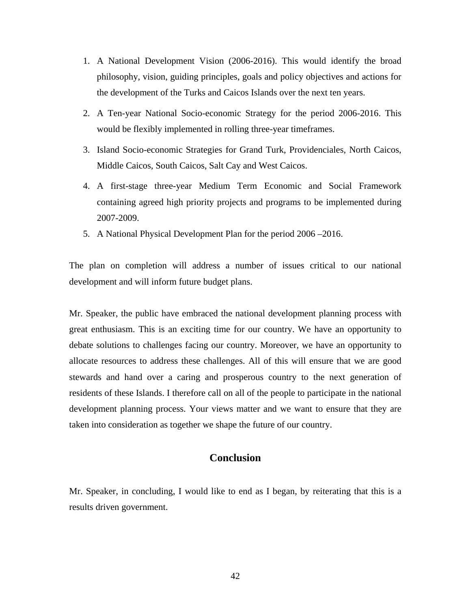- 1. A National Development Vision (2006-2016). This would identify the broad philosophy, vision, guiding principles, goals and policy objectives and actions for the development of the Turks and Caicos Islands over the next ten years.
- 2. A Ten-year National Socio-economic Strategy for the period 2006-2016. This would be flexibly implemented in rolling three-year timeframes.
- 3. Island Socio-economic Strategies for Grand Turk, Providenciales, North Caicos, Middle Caicos, South Caicos, Salt Cay and West Caicos.
- 4. A first-stage three-year Medium Term Economic and Social Framework containing agreed high priority projects and programs to be implemented during 2007-2009.
- 5. A National Physical Development Plan for the period 2006 –2016.

The plan on completion will address a number of issues critical to our national development and will inform future budget plans.

Mr. Speaker, the public have embraced the national development planning process with great enthusiasm. This is an exciting time for our country. We have an opportunity to debate solutions to challenges facing our country. Moreover, we have an opportunity to allocate resources to address these challenges. All of this will ensure that we are good stewards and hand over a caring and prosperous country to the next generation of residents of these Islands. I therefore call on all of the people to participate in the national development planning process. Your views matter and we want to ensure that they are taken into consideration as together we shape the future of our country.

# **Conclusion**

Mr. Speaker, in concluding, I would like to end as I began, by reiterating that this is a results driven government.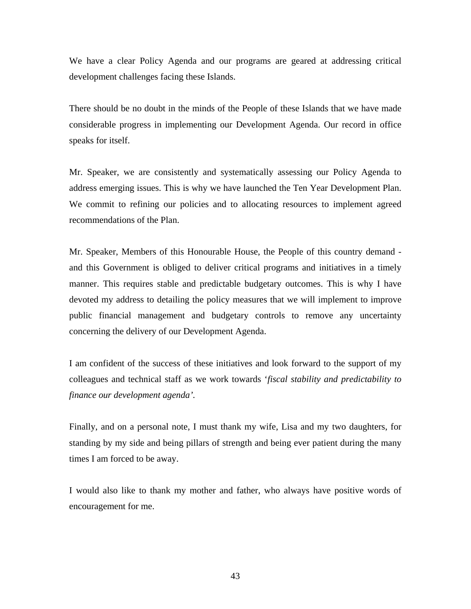We have a clear Policy Agenda and our programs are geared at addressing critical development challenges facing these Islands.

There should be no doubt in the minds of the People of these Islands that we have made considerable progress in implementing our Development Agenda. Our record in office speaks for itself.

Mr. Speaker, we are consistently and systematically assessing our Policy Agenda to address emerging issues. This is why we have launched the Ten Year Development Plan. We commit to refining our policies and to allocating resources to implement agreed recommendations of the Plan.

Mr. Speaker, Members of this Honourable House, the People of this country demand and this Government is obliged to deliver critical programs and initiatives in a timely manner. This requires stable and predictable budgetary outcomes. This is why I have devoted my address to detailing the policy measures that we will implement to improve public financial management and budgetary controls to remove any uncertainty concerning the delivery of our Development Agenda.

I am confident of the success of these initiatives and look forward to the support of my colleagues and technical staff as we work towards '*fiscal stability and predictability to finance our development agenda'.* 

Finally, and on a personal note, I must thank my wife, Lisa and my two daughters, for standing by my side and being pillars of strength and being ever patient during the many times I am forced to be away.

I would also like to thank my mother and father, who always have positive words of encouragement for me.